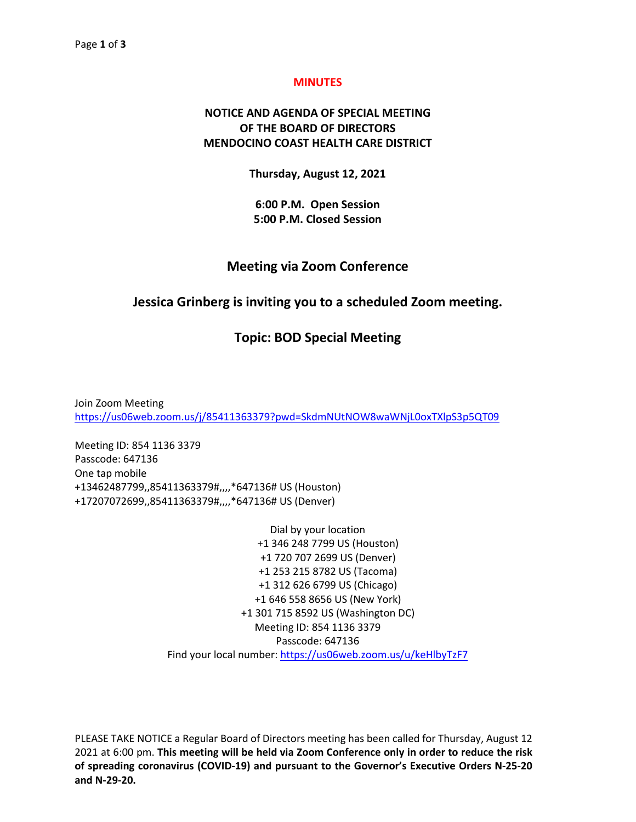#### **MINUTES**

# **NOTICE AND AGENDA OF SPECIAL MEETING OF THE BOARD OF DIRECTORS MENDOCINO COAST HEALTH CARE DISTRICT**

**Thursday, August 12, 2021**

**6:00 P.M. Open Session 5:00 P.M. Closed Session**

### **Meeting via Zoom Conference**

## **Jessica Grinberg is inviting you to a scheduled Zoom meeting.**

## **Topic: BOD Special Meeting**

Join Zoom Meeting <https://us06web.zoom.us/j/85411363379?pwd=SkdmNUtNOW8waWNjL0oxTXlpS3p5QT09>

Meeting ID: 854 1136 3379 Passcode: 647136 One tap mobile +13462487799,,85411363379#,,,,\*647136# US (Houston) +17207072699,,85411363379#,,,,\*647136# US (Denver)

> Dial by your location +1 346 248 7799 US (Houston) +1 720 707 2699 US (Denver) +1 253 215 8782 US (Tacoma) +1 312 626 6799 US (Chicago) +1 646 558 8656 US (New York) +1 301 715 8592 US (Washington DC) Meeting ID: 854 1136 3379 Passcode: 647136 Find your local number:<https://us06web.zoom.us/u/keHlbyTzF7>

PLEASE TAKE NOTICE a Regular Board of Directors meeting has been called for Thursday, August 12 2021 at 6:00 pm. **This meeting will be held via Zoom Conference only in order to reduce the risk of spreading coronavirus (COVID-19) and pursuant to the Governor's Executive Orders N-25-20 and N-29-20.**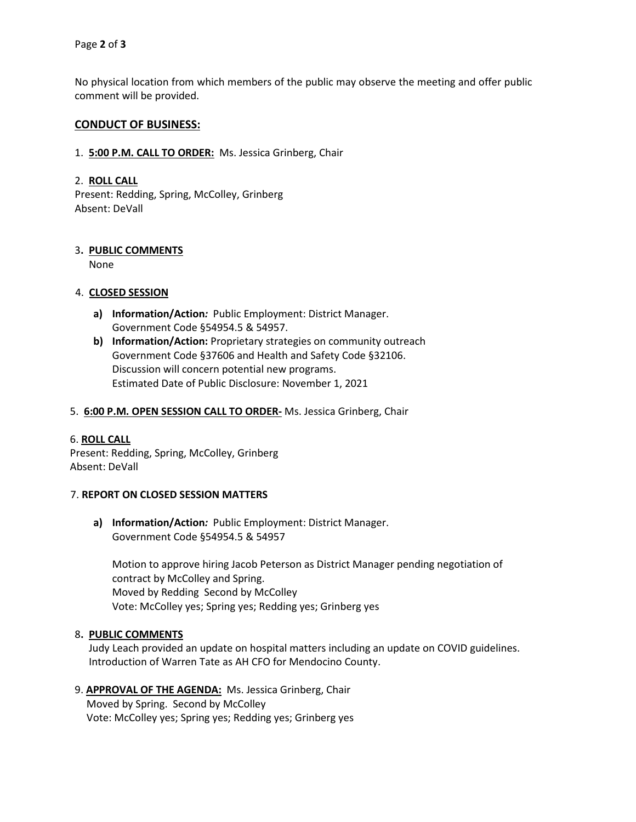No physical location from which members of the public may observe the meeting and offer public comment will be provided.

### **CONDUCT OF BUSINESS:**

1. **5:00 P.M. CALL TO ORDER:** Ms. Jessica Grinberg, Chair

### 2. **ROLL CALL**

Present: Redding, Spring, McColley, Grinberg Absent: DeVall

## 3**. PUBLIC COMMENTS**

None

### 4. **CLOSED SESSION**

- **a) Information/Action***:* Public Employment: District Manager. Government Code §54954.5 & 54957.
- **b) Information/Action:** Proprietary strategies on community outreach Government Code §37606 and Health and Safety Code §32106. Discussion will concern potential new programs. Estimated Date of Public Disclosure: November 1, 2021

### 5. **6:00 P.M. OPEN SESSION CALL TO ORDER-** Ms. Jessica Grinberg, Chair

### 6. **ROLL CALL**

Present: Redding, Spring, McColley, Grinberg Absent: DeVall

### 7. **REPORT ON CLOSED SESSION MATTERS**

**a) Information/Action***:* Public Employment: District Manager. Government Code §54954.5 & 54957

Motion to approve hiring Jacob Peterson as District Manager pending negotiation of contract by McColley and Spring. Moved by Redding Second by McColley Vote: McColley yes; Spring yes; Redding yes; Grinberg yes

### 8**. PUBLIC COMMENTS**

Judy Leach provided an update on hospital matters including an update on COVID guidelines. Introduction of Warren Tate as AH CFO for Mendocino County.

#### 9. **APPROVAL OF THE AGENDA:** Ms. Jessica Grinberg, Chair Moved by Spring. Second by McColley

Vote: McColley yes; Spring yes; Redding yes; Grinberg yes